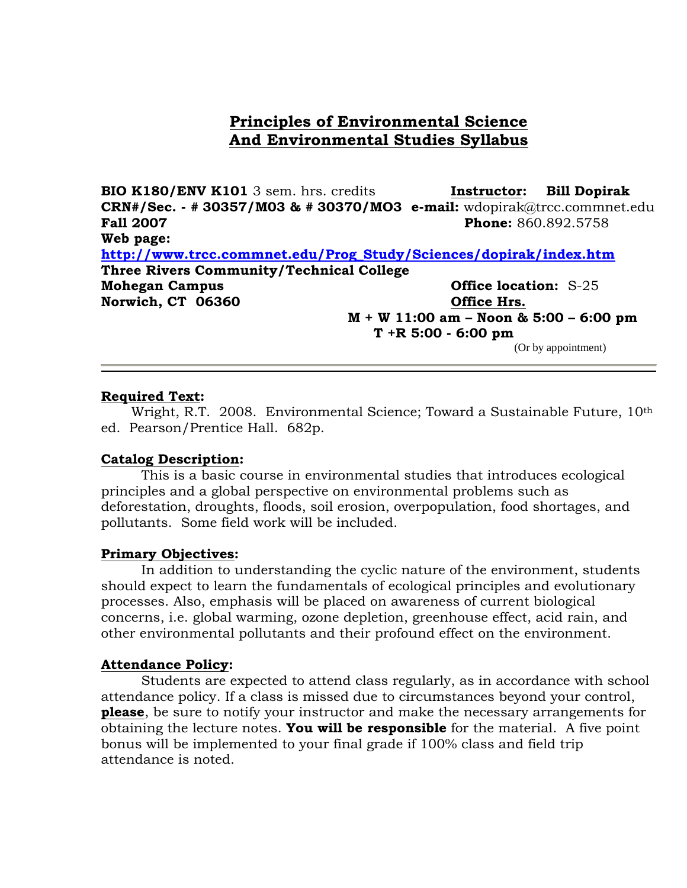# **Principles of Environmental Science And Environmental Studies Syllabus**

**BIO K180/ENV K101** 3 sem. hrs. credits **Instructor: Bill Dopirak CRN#/Sec. - # 30357/M03 & # 30370/MO3 e-mail:** wdopirak@trcc.commnet.edu **Fall 2007 Phone:** 860.892.5758 **Web page: [http://www.trcc.commnet.edu/Prog\\_Study/Sciences/dopirak/index.htm](http://www.trcc.commnet.edu/Prog_Study/Sciences/dopirak/index.htm) Three Rivers Community/Technical College Mohegan Campus Office location:** S-25 **Norwich, CT 06360 Office Hrs. M + W 11:00 am – Noon & 5:00 – 6:00 pm**

**T +R 5:00 - 6:00 pm** (Or by appointment)

### **Required Text:**

Wright, R.T. 2008. Environmental Science; Toward a Sustainable Future, 10<sup>th</sup> ed. Pearson/Prentice Hall. 682p.

### **Catalog Description:**

This is a basic course in environmental studies that introduces ecological principles and a global perspective on environmental problems such as deforestation, droughts, floods, soil erosion, overpopulation, food shortages, and pollutants. Some field work will be included.

### **Primary Objectives:**

In addition to understanding the cyclic nature of the environment, students should expect to learn the fundamentals of ecological principles and evolutionary processes. Also, emphasis will be placed on awareness of current biological concerns, i.e. global warming, ozone depletion, greenhouse effect, acid rain, and other environmental pollutants and their profound effect on the environment.

### **Attendance Policy:**

Students are expected to attend class regularly, as in accordance with school attendance policy. If a class is missed due to circumstances beyond your control, **please**, be sure to notify your instructor and make the necessary arrangements for obtaining the lecture notes. **You will be responsible** for the material. A five point bonus will be implemented to your final grade if 100% class and field trip attendance is noted.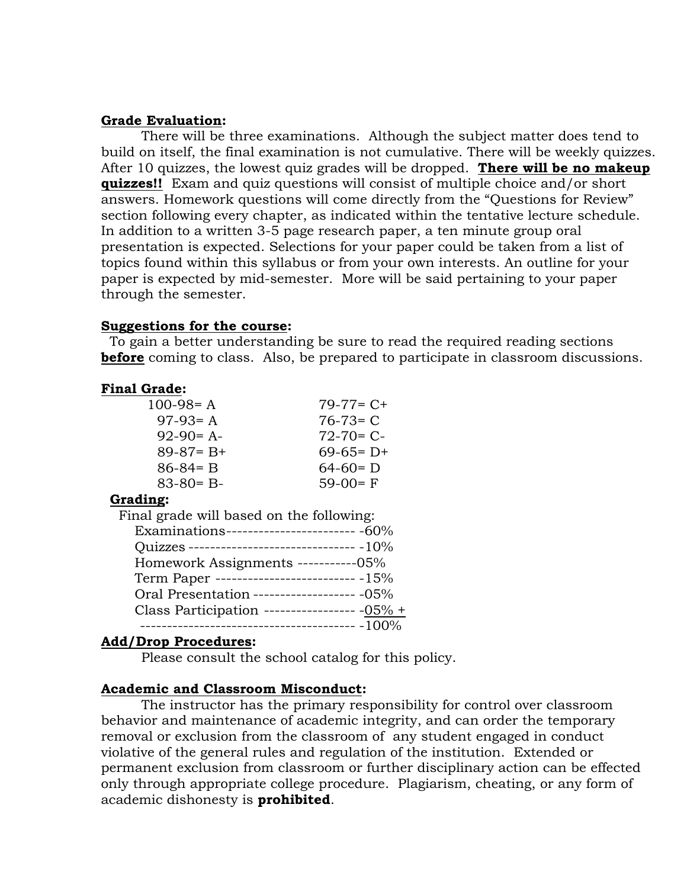### **Grade Evaluation:**

There will be three examinations. Although the subject matter does tend to build on itself, the final examination is not cumulative. There will be weekly quizzes. After 10 quizzes, the lowest quiz grades will be dropped. **There will be no makeup quizzes!!** Exam and quiz questions will consist of multiple choice and/or short answers. Homework questions will come directly from the "Questions for Review" section following every chapter, as indicated within the tentative lecture schedule. In addition to a written 3-5 page research paper, a ten minute group oral presentation is expected. Selections for your paper could be taken from a list of topics found within this syllabus or from your own interests. An outline for your paper is expected by mid-semester. More will be said pertaining to your paper through the semester.

### **Suggestions for the course:**

 To gain a better understanding be sure to read the required reading sections **before** coming to class. Also, be prepared to participate in classroom discussions.

### **Final Grade:**

| $100-98= A$   | $79-77=$ C+   |
|---------------|---------------|
| $97-93= A$    | $76 - 73 = C$ |
| $92-90= A-$   | $72 - 70 = C$ |
| $89-87= B+$   | $69-65= D+$   |
| $86 - 84 = B$ | $64-60= D$    |
| $83 - 80 = B$ | $59-00=$ F    |

### **Grading:**

### **Add/Drop Procedures:**

Please consult the school catalog for this policy.

### **Academic and Classroom Misconduct:**

The instructor has the primary responsibility for control over classroom behavior and maintenance of academic integrity, and can order the temporary removal or exclusion from the classroom of any student engaged in conduct violative of the general rules and regulation of the institution. Extended or permanent exclusion from classroom or further disciplinary action can be effected only through appropriate college procedure. Plagiarism, cheating, or any form of academic dishonesty is **prohibited**.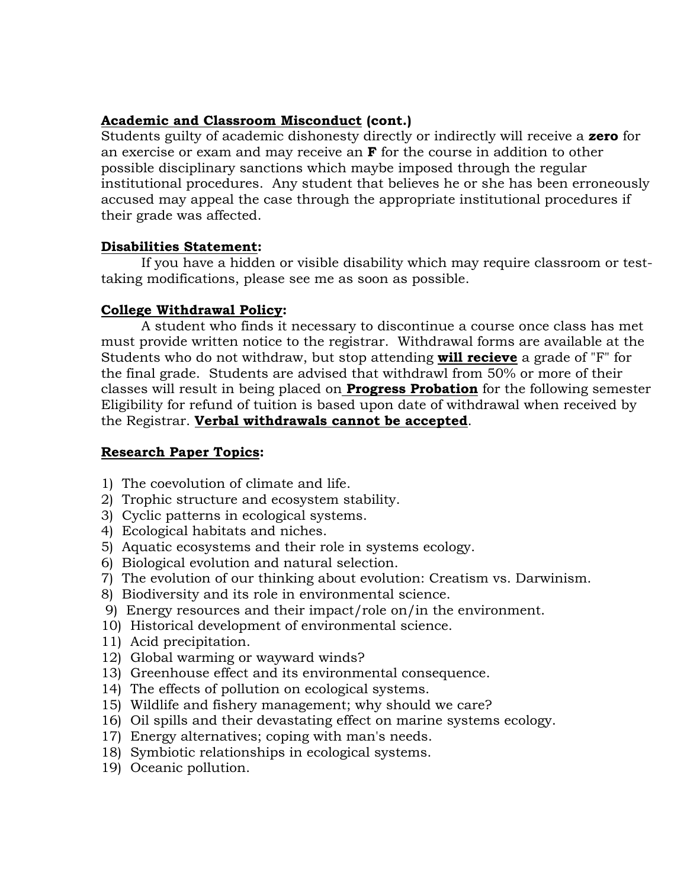### **Academic and Classroom Misconduct (cont.)**

Students guilty of academic dishonesty directly or indirectly will receive a **zero** for an exercise or exam and may receive an **F** for the course in addition to other possible disciplinary sanctions which maybe imposed through the regular institutional procedures. Any student that believes he or she has been erroneously accused may appeal the case through the appropriate institutional procedures if their grade was affected.

## **Disabilities Statement:**

 If you have a hidden or visible disability which may require classroom or testtaking modifications, please see me as soon as possible.

## **College Withdrawal Policy:**

A student who finds it necessary to discontinue a course once class has met must provide written notice to the registrar. Withdrawal forms are available at the Students who do not withdraw, but stop attending **will recieve** a grade of "F" for the final grade. Students are advised that withdrawl from 50% or more of their classes will result in being placed on **Progress Probation** for the following semester Eligibility for refund of tuition is based upon date of withdrawal when received by the Registrar. **Verbal withdrawals cannot be accepted**.

## **Research Paper Topics:**

- 1) The coevolution of climate and life.
- 2) Trophic structure and ecosystem stability.
- 3) Cyclic patterns in ecological systems.
- 4) Ecological habitats and niches.
- 5) Aquatic ecosystems and their role in systems ecology.
- 6) Biological evolution and natural selection.
- 7) The evolution of our thinking about evolution: Creatism vs. Darwinism.
- 8) Biodiversity and its role in environmental science.
- 9) Energy resources and their impact/role on/in the environment.
- 10) Historical development of environmental science.
- 11) Acid precipitation.
- 12) Global warming or wayward winds?
- 13) Greenhouse effect and its environmental consequence.
- 14) The effects of pollution on ecological systems.
- 15) Wildlife and fishery management; why should we care?
- 16) Oil spills and their devastating effect on marine systems ecology.
- 17) Energy alternatives; coping with man's needs.
- 18) Symbiotic relationships in ecological systems.
- 19) Oceanic pollution.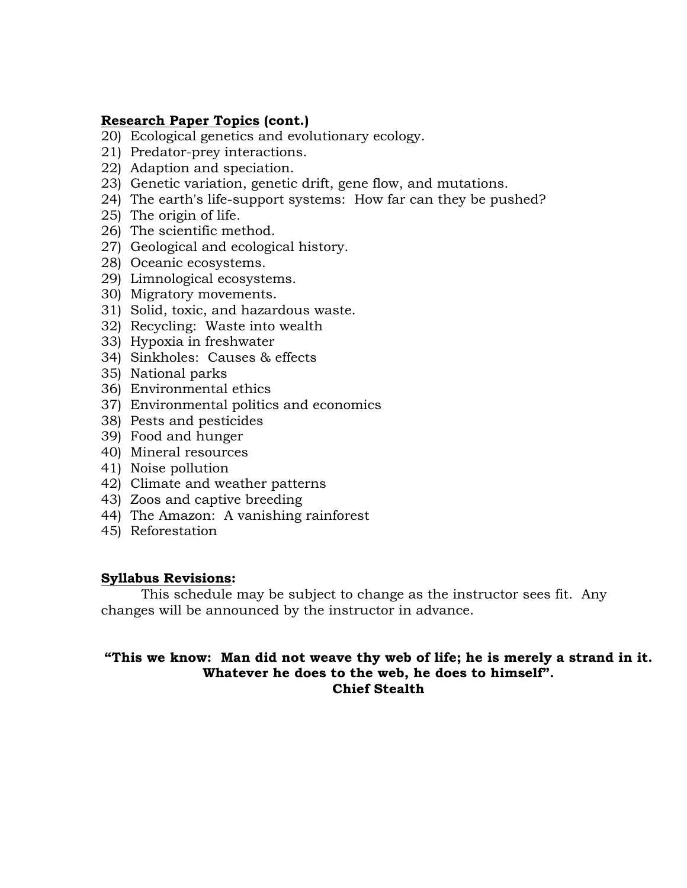### **Research Paper Topics (cont.)**

- 20) Ecological genetics and evolutionary ecology.
- 21) Predator-prey interactions.
- 22) Adaption and speciation.
- 23) Genetic variation, genetic drift, gene flow, and mutations.
- 24) The earth's life-support systems: How far can they be pushed?
- 25) The origin of life.
- 26) The scientific method.
- 27) Geological and ecological history.
- 28) Oceanic ecosystems.
- 29) Limnological ecosystems.
- 30) Migratory movements.
- 31) Solid, toxic, and hazardous waste.
- 32) Recycling: Waste into wealth
- 33) Hypoxia in freshwater
- 34) Sinkholes: Causes & effects
- 35) National parks
- 36) Environmental ethics
- 37) Environmental politics and economics
- 38) Pests and pesticides
- 39) Food and hunger
- 40) Mineral resources
- 41) Noise pollution
- 42) Climate and weather patterns
- 43) Zoos and captive breeding
- 44) The Amazon: A vanishing rainforest
- 45) Reforestation

### **Syllabus Revisions:**

This schedule may be subject to change as the instructor sees fit. Any changes will be announced by the instructor in advance.

## **"This we know: Man did not weave thy web of life; he is merely a strand in it. Whatever he does to the web, he does to himself". Chief Stealth**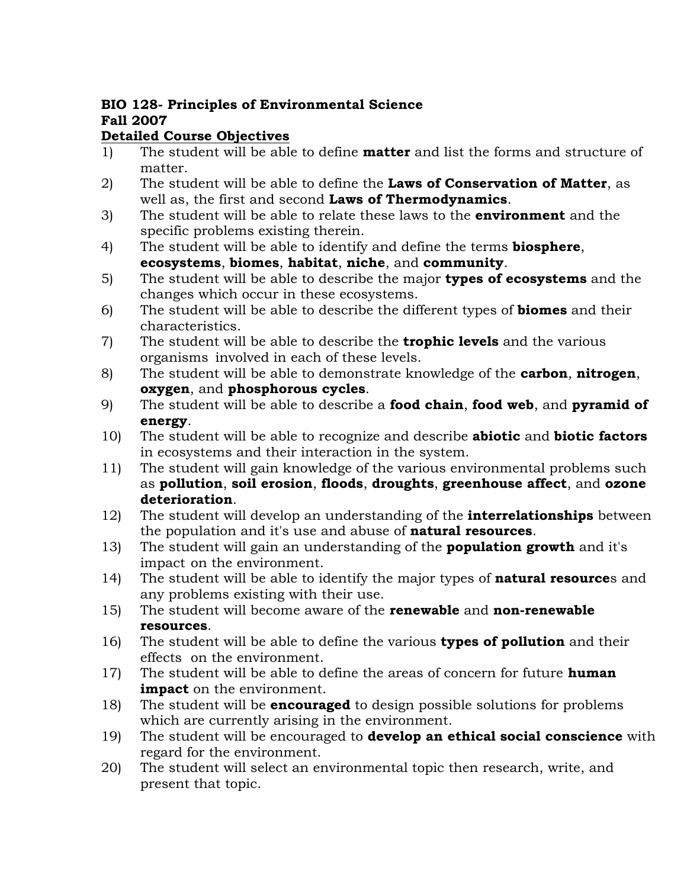# **BIO 128- Principles of Environmental Science Fall 2007**

# **Detailed Course Objectives**

- 1) The student will be able to define **matter** and list the forms and structure of matter.
- 2) The student will be able to define the **Laws of Conservation of Matter**, as well as, the first and second **Laws of Thermodynamics**.
- 3) The student will be able to relate these laws to the **environment** and the specific problems existing therein.
- 4) The student will be able to identify and define the terms **biosphere**, **ecosystems**, **biomes**, **habitat**, **niche**, and **community**.
- 5) The student will be able to describe the major **types of ecosystems** and the changes which occur in these ecosystems.
- 6) The student will be able to describe the different types of **biomes** and their characteristics.
- 7) The student will be able to describe the **trophic levels** and the various organisms involved in each of these levels.
- 8) The student will be able to demonstrate knowledge of the **carbon**, **nitrogen**, **oxygen**, and **phosphorous cycles**.
- 9) The student will be able to describe a **food chain**, **food web**, and **pyramid of energy**.
- 10) The student will be able to recognize and describe **abiotic** and **biotic factors** in ecosystems and their interaction in the system.
- 11) The student will gain knowledge of the various environmental problems such as **pollution**, **soil erosion**, **floods**, **droughts**, **greenhouse affect**, and **ozone deterioration**.
- 12) The student will develop an understanding of the **interrelationships** between the population and it's use and abuse of **natural resources**.
- 13) The student will gain an understanding of the **population growth** and it's impact on the environment.
- 14) The student will be able to identify the major types of **natural resource**s and any problems existing with their use.
- 15) The student will become aware of the **renewable** and **non-renewable resources**.
- 16) The student will be able to define the various **types of pollution** and their effects on the environment.
- 17) The student will be able to define the areas of concern for future **human impact** on the environment.
- 18) The student will be **encouraged** to design possible solutions for problems which are currently arising in the environment.
- 19) The student will be encouraged to **develop an ethical social conscience** with regard for the environment.
- 20) The student will select an environmental topic then research, write, and present that topic.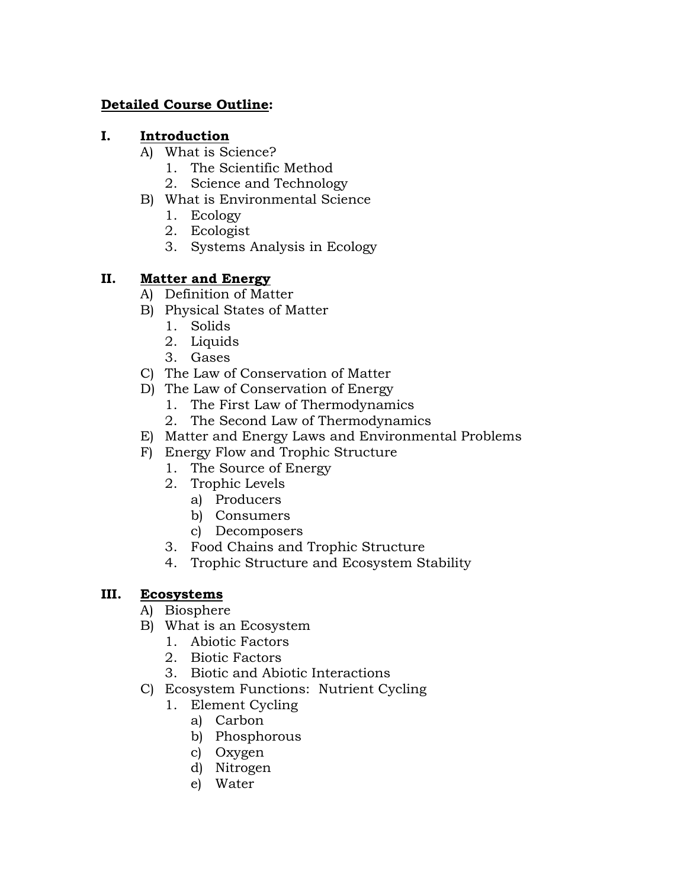## **Detailed Course Outline:**

## **I. Introduction**

- A) What is Science?
	- 1. The Scientific Method
	- 2. Science and Technology
- B) What is Environmental Science
	- 1. Ecology
	- 2. Ecologist
	- 3. Systems Analysis in Ecology

## **II. Matter and Energy**

- A) Definition of Matter
- B) Physical States of Matter
	- 1. Solids
	- 2. Liquids
	- 3. Gases
- C) The Law of Conservation of Matter
- D) The Law of Conservation of Energy
	- 1. The First Law of Thermodynamics
	- 2. The Second Law of Thermodynamics
- E) Matter and Energy Laws and Environmental Problems
- F) Energy Flow and Trophic Structure
	- 1. The Source of Energy
	- 2. Trophic Levels
		- a) Producers
		- b) Consumers
		- c) Decomposers
	- 3. Food Chains and Trophic Structure
	- 4. Trophic Structure and Ecosystem Stability

# **III. Ecosystems**

- A) Biosphere
- B) What is an Ecosystem
	- 1. Abiotic Factors
	- 2. Biotic Factors
	- 3. Biotic and Abiotic Interactions
- C) Ecosystem Functions: Nutrient Cycling
	- 1. Element Cycling
		- a) Carbon
		- b) Phosphorous
		- c) Oxygen
		- d) Nitrogen
		- e) Water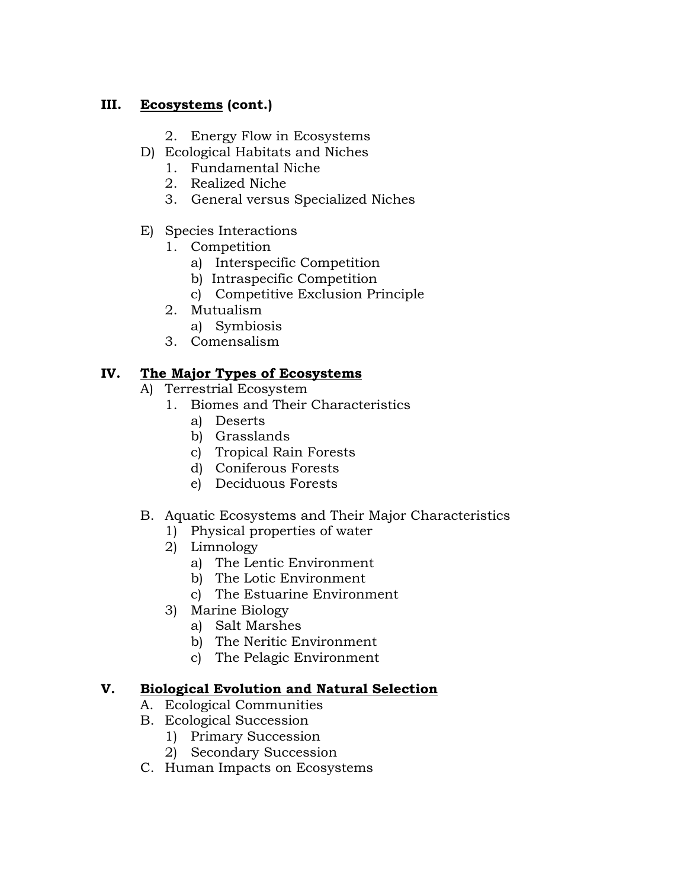# **III. Ecosystems (cont.)**

- 2. Energy Flow in Ecosystems
- D) Ecological Habitats and Niches
	- 1. Fundamental Niche
	- 2. Realized Niche
	- 3. General versus Specialized Niches
- E) Species Interactions
	- 1. Competition
		- a) Interspecific Competition
		- b) Intraspecific Competition
		- c) Competitive Exclusion Principle
	- 2. Mutualism
		- a) Symbiosis
	- 3. Comensalism

## **IV. The Major Types of Ecosystems**

- A) Terrestrial Ecosystem
	- 1. Biomes and Their Characteristics
		- a) Deserts
		- b) Grasslands
		- c) Tropical Rain Forests
		- d) Coniferous Forests
		- e) Deciduous Forests

# B. Aquatic Ecosystems and Their Major Characteristics

- 1) Physical properties of water
- 2) Limnology
	- a) The Lentic Environment
	- b) The Lotic Environment
	- c) The Estuarine Environment
- 3) Marine Biology
	- a) Salt Marshes
	- b) The Neritic Environment
	- c) The Pelagic Environment

## **V. Biological Evolution and Natural Selection**

- A. Ecological Communities
- B. Ecological Succession
	- 1) Primary Succession
	- 2) Secondary Succession
- C. Human Impacts on Ecosystems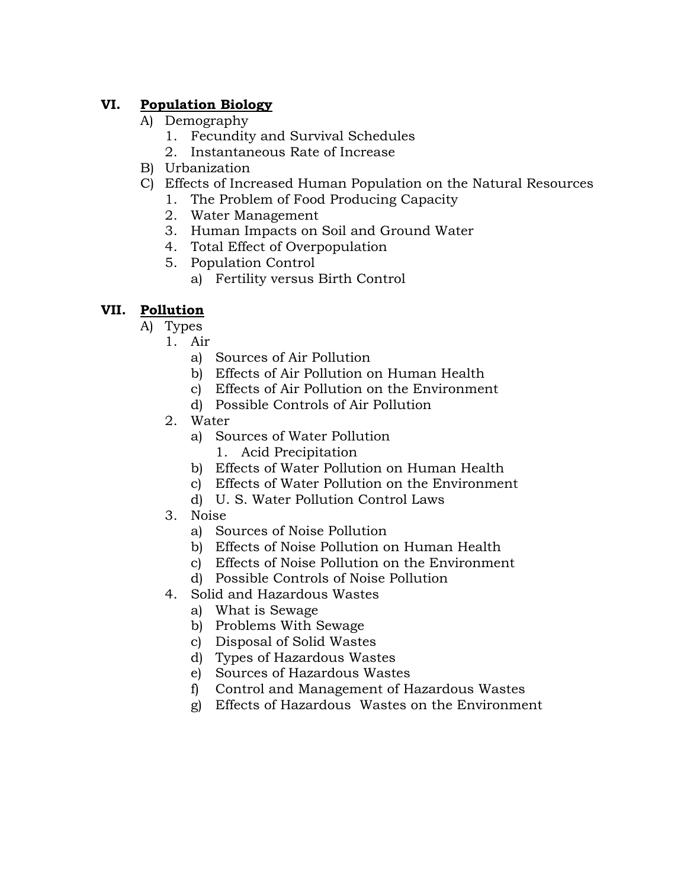# **VI. Population Biology**

- A) Demography
	- 1. Fecundity and Survival Schedules
	- 2. Instantaneous Rate of Increase
- B) Urbanization
- C) Effects of Increased Human Population on the Natural Resources
	- 1. The Problem of Food Producing Capacity
	- 2. Water Management
	- 3. Human Impacts on Soil and Ground Water
	- 4. Total Effect of Overpopulation
	- 5. Population Control
		- a) Fertility versus Birth Control

# **VII. Pollution**

- A) Types
	- 1. Air
		- a) Sources of Air Pollution
		- b) Effects of Air Pollution on Human Health
		- c) Effects of Air Pollution on the Environment
		- d) Possible Controls of Air Pollution
	- 2. Water
		- a) Sources of Water Pollution
			- 1. Acid Precipitation
		- b) Effects of Water Pollution on Human Health
		- c) Effects of Water Pollution on the Environment
		- d) U. S. Water Pollution Control Laws
	- 3. Noise
		- a) Sources of Noise Pollution
		- b) Effects of Noise Pollution on Human Health
		- c) Effects of Noise Pollution on the Environment
		- d) Possible Controls of Noise Pollution
	- 4. Solid and Hazardous Wastes
		- a) What is Sewage
		- b) Problems With Sewage
		- c) Disposal of Solid Wastes
		- d) Types of Hazardous Wastes
		- e) Sources of Hazardous Wastes
		- f) Control and Management of Hazardous Wastes
		- g) Effects of Hazardous Wastes on the Environment